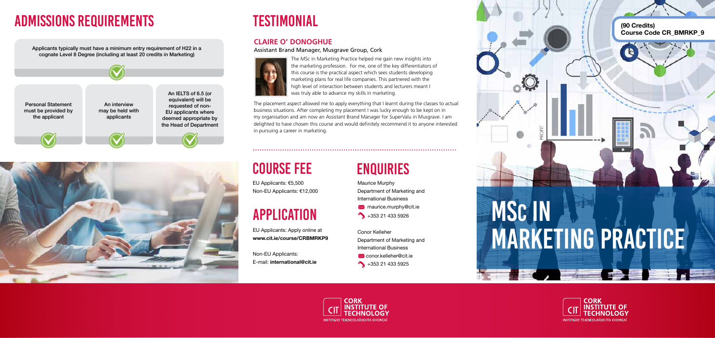



Applicants typically must have a minimum entry requirement of H22 in a cognate Level 8 Degree (including at least 20 credits in Marketing)

> Maurice Murphy Department of Marketing and International Business  $\bowtie$  maurice.murphy@cit.ie  $+353 21 433 5926$

### Conor Kelleher Department of Marketing and International Business **X** conor.kelleher@cit.ie

 $+353 21 433 5925$ 







# **TESTIMONIAL**

# Course Fee

# APPLICATION

EU Applicants: €5,500 Non-EU Applicants: €12,000

EU Applicants: Apply online at **www.cit.ie/course/CRBMRKP9**

Non-EU Applicants: E-mail: **international@cit.ie** 

## **ENQUIRIES**

The MSc in Marketing Practice helped me gain new insights into the marketing profession. For me, one of the key differentiators of this course is the practical aspect which sees students developing marketing plans for real life companies. This partnered with the high level of interaction between students and lecturers meant I was truly able to advance my skills in marketing.

### **Claire O' Donoghue**

Assistant Brand Manager, Musgrave Group, Cork



The placement aspect allowed me to apply everything that I learnt during the classes to actual business situations. After completing my placement I was lucky enough to be kept on in my organisation and am now an Assistant Brand Manager for SuperValu in Musgrave. I am delighted to have chosen this course and would definitely recommend it to anyone interested in pursuing a career in marketing.